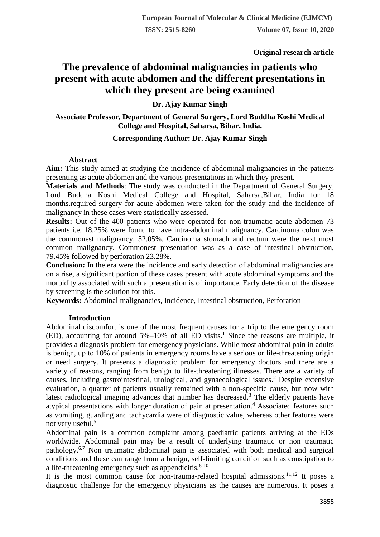**Original research article** 

# **The prevalence of abdominal malignancies in patients who present with acute abdomen and the different presentations in which they present are being examined**

# **Dr. Ajay Kumar Singh**

# **Associate Professor, Department of General Surgery, Lord Buddha Koshi Medical College and Hospital, Saharsa, Bihar, India.**

# **Corresponding Author: Dr. Ajay Kumar Singh**

# **Abstract**

**Aim:** This study aimed at studying the incidence of abdominal malignancies in the patients presenting as acute abdomen and the various presentations in which they present.

**Materials and Methods**: The study was conducted in the Department of General Surgery, Lord Buddha Koshi Medical College and Hospital, Saharsa,Bihar, India for 18 months.required surgery for acute abdomen were taken for the study and the incidence of malignancy in these cases were statistically assessed.

**Results:** Out of the 400 patients who were operated for non-traumatic acute abdomen 73 patients i.e. 18.25% were found to have intra-abdominal malignancy. Carcinoma colon was the commonest malignancy, 52.05%. Carcinoma stomach and rectum were the next most common malignancy. Commonest presentation was as a case of intestinal obstruction, 79.45% followed by perforation 23.28%.

**Conclusion:** In the era were the incidence and early detection of abdominal malignancies are on a rise, a significant portion of these cases present with acute abdominal symptoms and the morbidity associated with such a presentation is of importance. Early detection of the disease by screening is the solution for this.

**Keywords:** Abdominal malignancies, Incidence, Intestinal obstruction, Perforation

# **Introduction**

Abdominal discomfort is one of the most frequent causes for a trip to the emergency room (ED), accounting for around  $5\%$  –10% of all ED visits.<sup>1</sup> Since the reasons are multiple, it provides a diagnosis problem for emergency physicians. While most abdominal pain in adults is benign, up to 10% of patients in emergency rooms have a serious or life-threatening origin or need surgery. It presents a diagnostic problem for emergency doctors and there are a variety of reasons, ranging from benign to life-threatening illnesses. There are a variety of causes, including gastrointestinal, urological, and gynaecological issues.<sup>2</sup> Despite extensive evaluation, a quarter of patients usually remained with a non-specific cause, but now with latest radiological imaging advances that number has decreased.<sup>3</sup> The elderly patients have atypical presentations with longer duration of pain at presentation.<sup>4</sup> Associated features such as vomiting, guarding and tachycardia were of diagnostic value, whereas other features were not very useful.<sup>5</sup>

Abdominal pain is a common complaint among paediatric patients arriving at the EDs worldwide. Abdominal pain may be a result of underlying traumatic or non traumatic pathology.6,7 Non traumatic abdominal pain is associated with both medical and surgical conditions and these can range from a benign, self-limiting condition such as constipation to a life-threatening emergency such as appendicitis.<sup>8-10</sup>

It is the most common cause for non-trauma-related hospital admissions.<sup>11,12</sup> It poses a diagnostic challenge for the emergency physicians as the causes are numerous. It poses a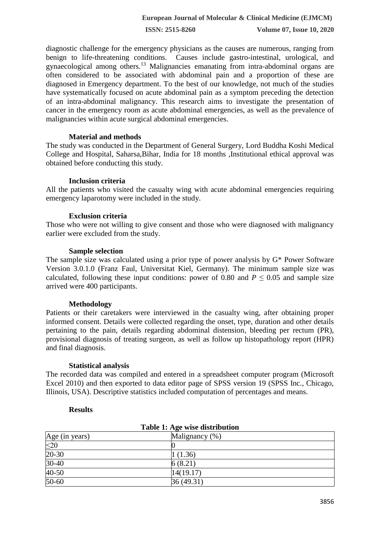**ISSN: 2515-8260 Volume 07, Issue 10, 2020**

diagnostic challenge for the emergency physicians as the causes are numerous, ranging from benign to life-threatening conditions. Causes include gastro-intestinal, urological, and gynaecological among others.<sup>13</sup> Malignancies emanating from intra-abdominal organs are often considered to be associated with abdominal pain and a proportion of these are diagnosed in Emergency department. To the best of our knowledge, not much of the studies have systematically focused on acute abdominal pain as a symptom preceding the detection of an intra-abdominal malignancy. This research aims to investigate the presentation of cancer in the emergency room as acute abdominal emergencies, as well as the prevalence of malignancies within acute surgical abdominal emergencies.

### **Material and methods**

The study was conducted in the Department of General Surgery, Lord Buddha Koshi Medical College and Hospital, Saharsa,Bihar, India for 18 months ,Institutional ethical approval was obtained before conducting this study.

#### **Inclusion criteria**

All the patients who visited the casualty wing with acute abdominal emergencies requiring emergency laparotomy were included in the study.

#### **Exclusion criteria**

Those who were not willing to give consent and those who were diagnosed with malignancy earlier were excluded from the study.

#### **Sample selection**

The sample size was calculated using a prior type of power analysis by G\* Power Software Version 3.0.1.0 (Franz Faul, Universitat Kiel, Germany). The minimum sample size was calculated, following these input conditions: power of 0.80 and  $P \le 0.05$  and sample size arrived were 400 participants.

#### **Methodology**

Patients or their caretakers were interviewed in the casualty wing, after obtaining proper informed consent. Details were collected regarding the onset, type, duration and other details pertaining to the pain, details regarding abdominal distension, bleeding per rectum (PR), provisional diagnosis of treating surgeon, as well as follow up histopathology report (HPR) and final diagnosis.

# **Statistical analysis**

The recorded data was compiled and entered in a spreadsheet computer program (Microsoft Excel 2010) and then exported to data editor page of SPSS version 19 (SPSS Inc., Chicago, Illinois, USA). Descriptive statistics included computation of percentages and means.

#### **Results**

| Table 1: Age wise distribution |                |  |
|--------------------------------|----------------|--|
| Age (in years)                 | Malignancy (%) |  |
| $\leq$ 20                      |                |  |
| $20-30$                        | 1(1.36)        |  |
| $30-40$                        | 6(8.21)        |  |
| $40-50$                        | 14(19.17)      |  |
| $50 - 60$                      | 36(49.31)      |  |

#### **Table 1: Age wise distribution**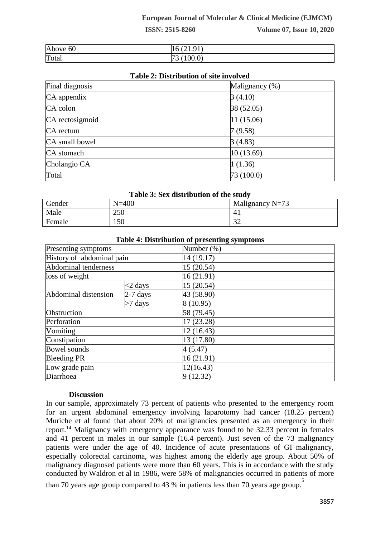**ISSN: 2515-8260 Volume 07, Issue 10, 2020**

| Above 60 | $($ $\cap$ $\Box$<br>$\Omega$ 1<br>. 21. 21 |
|----------|---------------------------------------------|
| Total    | (100.0)<br>$\sqrt{2}$<br>້                  |

### **Table 2: Distribution of site involved**

| Final diagnosis | Malignancy (%) |
|-----------------|----------------|
| CA appendix     | 3(4.10)        |
| CA colon        | 38 (52.05)     |
| CA rectosigmoid | 11(15.06)      |
| CA rectum       | 7(9.58)        |
| CA small bowel  | 3(4.83)        |
| CA stomach      | 10(13.69)      |
| Cholangio CA    | 1(1.36)        |
| Total           | 73(100.0)      |

#### **Table 3: Sex distribution of the study**

| Gender | $N = 400$ | Malignancy $N=73$ |
|--------|-----------|-------------------|
| Male   | 250       | 41                |
| Female | 150       | $\Omega$<br>ىدر   |

|                           |            | Table +. Distribution of presenting symptoms |
|---------------------------|------------|----------------------------------------------|
| Presenting symptoms       |            | Number (%)                                   |
| History of abdominal pain |            | 14 (19.17)                                   |
| Abdominal tenderness      |            | 15 (20.54)                                   |
| loss of weight            |            | 16(21.91)                                    |
| Abdominal distension      | $<$ 2 days | 15 (20.54)                                   |
|                           | $2-7$ days | 43 (58.90)                                   |
|                           | $>7$ days  | 8(10.95)                                     |
| Obstruction               |            | 58 (79.45)                                   |
| Perforation               |            | 17 (23.28)                                   |
| Vomiting                  |            | 12 (16.43)                                   |
| Constipation              |            | 13 (17.80)                                   |
| <b>Bowel sounds</b>       |            | 4 (5.47)                                     |
| <b>Bleeding PR</b>        |            | 16(21.91)                                    |
| Low grade pain            |            | 12(16.43)                                    |
| Diarrhoea                 |            | 9(12.32)                                     |

# **Table 4: Distribution of presenting symptoms**

#### **Discussion**

In our sample, approximately 73 percent of patients who presented to the emergency room for an urgent abdominal emergency involving laparotomy had cancer (18.25 percent) Muriche et al found that about 20% of malignancies presented as an emergency in their report.<sup>14</sup> Malignancy with emergency appearance was found to be 32.33 percent in females and 41 percent in males in our sample (16.4 percent). Just seven of the 73 malignancy patients were under the age of 40. Incidence of acute presentations of GI malignancy, especially colorectal carcinoma, was highest among the elderly age group. About 50% of malignancy diagnosed patients were more than 60 years. This is in accordance with the study conducted by Waldron et al in 1986, were 58% of malignancies occurred in patients of more than 70 years age group compared to 43 % in patients less than 70 years age group.<sup>5</sup>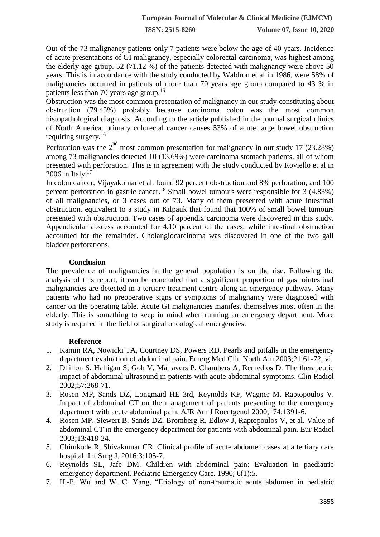**ISSN: 2515-8260 Volume 07, Issue 10, 2020**

Out of the 73 malignancy patients only 7 patients were below the age of 40 years. Incidence of acute presentations of GI malignancy, especially colorectal carcinoma, was highest among the elderly age group. 52 (71.12 %) of the patients detected with malignancy were above 50 years. This is in accordance with the study conducted by Waldron et al in 1986, were 58% of malignancies occurred in patients of more than 70 years age group compared to 43 % in patients less than 70 years age group.<sup>15</sup>

Obstruction was the most common presentation of malignancy in our study constituting about obstruction (79.45%) probably because carcinoma colon was the most common histopathological diagnosis. According to the article published in the journal surgical clinics of North America, primary colorectal cancer causes 53% of acute large bowel obstruction requiring surgery.<sup>16</sup>

Perforation was the  $2^{nd}$  most common presentation for malignancy in our study 17 (23.28%) among 73 malignancies detected 10 (13.69%) were carcinoma stomach patients, all of whom presented with perforation. This is in agreement with the study conducted by Roviello et al in 2006 in Italy.<sup>17</sup>

In colon cancer, Vijayakumar et al. found 92 percent obstruction and 8% perforation, and 100 percent perforation in gastric cancer.<sup>18</sup> Small bowel tumours were responsible for 3 (4.83%) of all malignancies, or 3 cases out of 73. Many of them presented with acute intestinal obstruction, equivalent to a study in Kilpauk that found that 100% of small bowel tumours presented with obstruction. Two cases of appendix carcinoma were discovered in this study. Appendicular abscess accounted for 4.10 percent of the cases, while intestinal obstruction accounted for the remainder. Cholangiocarcinoma was discovered in one of the two gall bladder perforations.

# **Conclusion**

The prevalence of malignancies in the general population is on the rise. Following the analysis of this report, it can be concluded that a significant proportion of gastrointestinal malignancies are detected in a tertiary treatment centre along an emergency pathway. Many patients who had no preoperative signs or symptoms of malignancy were diagnosed with cancer on the operating table. Acute GI malignancies manifest themselves most often in the elderly. This is something to keep in mind when running an emergency department. More study is required in the field of surgical oncological emergencies.

# **Reference**

- 1. Kamin RA, Nowicki TA, Courtney DS, Powers RD. Pearls and pitfalls in the emergency department evaluation of abdominal pain. Emerg Med Clin North Am 2003;21:61-72, vi.
- 2. Dhillon S, Halligan S, Goh V, Matravers P, Chambers A, Remedios D. The therapeutic impact of abdominal ultrasound in patients with acute abdominal symptoms. Clin Radiol 2002;57:268-71.
- 3. Rosen MP, Sands DZ, Longmaid HE 3rd, Reynolds KF, Wagner M, Raptopoulos V. Impact of abdominal CT on the management of patients presenting to the emergency department with acute abdominal pain. AJR Am J Roentgenol 2000;174:1391-6.
- 4. Rosen MP, Siewert B, Sands DZ, Bromberg R, Edlow J, Raptopoulos V, et al. Value of abdominal CT in the emergency department for patients with abdominal pain. Eur Radiol 2003;13:418-24.
- 5. Chimkode R, Shivakumar CR. Clinical profile of acute abdomen cases at a tertiary care hospital. Int Surg J. 2016;3:105-7.
- 6. Reynolds SL, Jafe DM. Children with abdominal pain: Evaluation in paediatric emergency department. Pediatric Emergency Care. 1990; 6(1):5.
- 7. H.-P. Wu and W. C. Yang, "Etiology of non-traumatic acute abdomen in pediatric